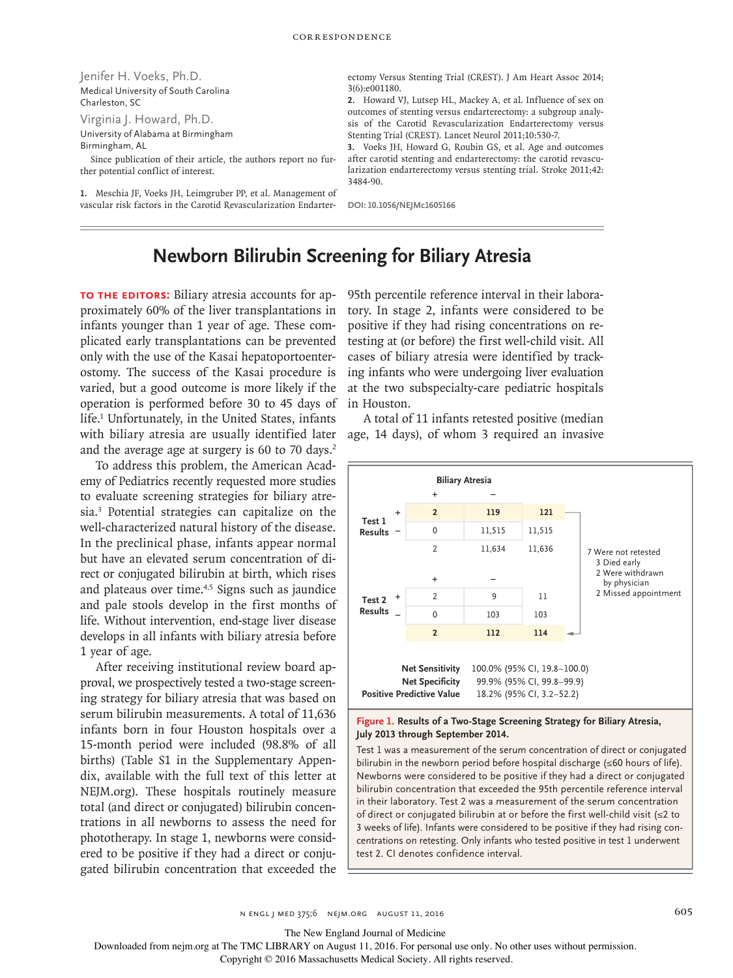Jenifer H. Voeks, Ph.D. Medical University of South Carolina Charleston, SC

Virginia J. Howard, Ph.D. University of Alabama at Birmingham

Birmingham, AL

Since publication of their article, the authors report no further potential conflict of interest.

**1.** Meschia JF, Voeks JH, Leimgruber PP, et al. Management of vascular risk factors in the Carotid Revascularization Endarterectomy Versus Stenting Trial (CREST). J Am Heart Assoc 2014; 3(6): e001180.

**2.** Howard VJ, Lutsep HL, Mackey A, et al. Influence of sex on outcomes of stenting versus endarterectomy: a subgroup analysis of the Carotid Revascularization Endarterectomy versus Stenting Trial (CREST). Lancet Neurol 2011;10:530-7.

**3.** Voeks JH, Howard G, Roubin GS, et al. Age and outcomes after carotid stenting and endarterectomy: the carotid revascularization endarterectomy versus stenting trial. Stroke 2011;42: 3484-90.

**DOI: 10.1056/NEJMc1605166**

# **Newborn Bilirubin Screening for Biliary Atresia**

**TO THE EDITORS:** Biliary atresia accounts for approximately 60% of the liver transplantations in infants younger than 1 year of age. These complicated early transplantations can be prevented only with the use of the Kasai hepatoportoenterostomy. The success of the Kasai procedure is varied, but a good outcome is more likely if the operation is performed before 30 to 45 days of life.<sup>1</sup> Unfortunately, in the United States, infants with biliary atresia are usually identified later age, 14 days), of whom 3 required an invasive and the average age at surgery is 60 to 70 days.<sup>2</sup>

To address this problem, the American Academy of Pediatrics recently requested more studies to evaluate screening strategies for biliary atresia.3 Potential strategies can capitalize on the well-characterized natural history of the disease. In the preclinical phase, infants appear normal but have an elevated serum concentration of direct or conjugated bilirubin at birth, which rises and plateaus over time.<sup>4,5</sup> Signs such as jaundice and pale stools develop in the first months of life. Without intervention, end-stage liver disease develops in all infants with biliary atresia before 1 year of age.

After receiving institutional review board approval, we prospectively tested a two-stage screening strategy for biliary atresia that was based on serum bilirubin measurements. A total of 11,636 infants born in four Houston hospitals over a 15-month period were included (98.8% of all births) (Table S1 in the Supplementary Appendix, available with the full text of this letter at NEJM.org). These hospitals routinely measure total (and direct or conjugated) bilirubin concentrations in all newborns to assess the need for phototherapy. In stage 1, newborns were considered to be positive if they had a direct or conjugated bilirubin concentration that exceeded the

95th percentile reference interval in their laboratory. In stage 2, infants were considered to be positive if they had rising concentrations on retesting at (or before) the first well-child visit. All cases of biliary atresia were identified by tracking infants who were undergoing liver evaluation at the two subspecialty-care pediatric hospitals in Houston.

A total of 11 infants retested positive (median



#### **Figure 1. Results of a Two-Stage Screening Strategy for Biliary Atresia, July 2013 through September 2014.**

Test 1 was a measurement of the serum concentration of direct or conjugated bilirubin in the newborn period before hospital discharge (≤60 hours of life). Newborns were considered to be positive if they had a direct or conjugated bilirubin concentration that exceeded the 95th percentile reference interval in their laboratory. Test 2 was a measurement of the serum concentration of direct or conjugated bilirubin at or before the first well-child visit (≤2 to 3 weeks of life). Infants were considered to be positive if they had rising concentrations on retesting. Only infants who tested positive in test 1 underwent test 2. CI denotes confidence interval.

n engl j med 375;6 nejm.org August 11, 2016 605

The New England Journal of Medicine

Downloaded from nejm.org at The TMC LIBRARY on August 11, 2016. For personal use only. No other uses without permission.

Copyright © 2016 Massachusetts Medical Society. All rights reserved.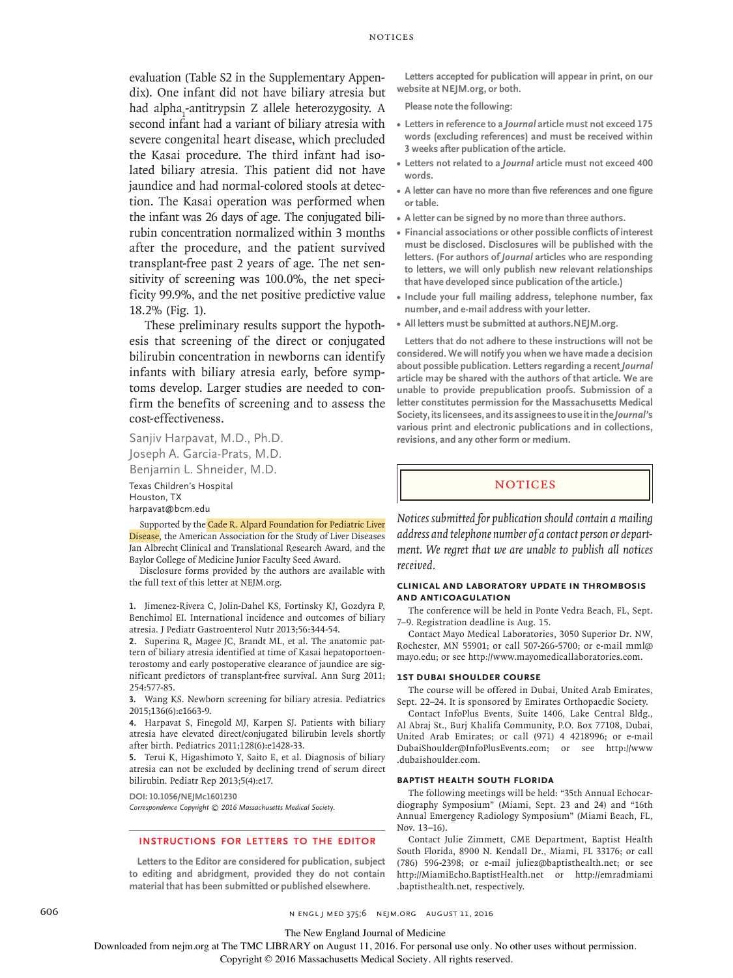evaluation (Table S2 in the Supplementary Appendix). One infant did not have biliary atresia but had alpha<sub>1</sub>-antitrypsin Z allele heterozygosity. A second infant had a variant of biliary atresia with severe congenital heart disease, which precluded the Kasai procedure. The third infant had isolated biliary atresia. This patient did not have jaundice and had normal-colored stools at detection. The Kasai operation was performed when the infant was 26 days of age. The conjugated bilirubin concentration normalized within 3 months after the procedure, and the patient survived transplant-free past 2 years of age. The net sensitivity of screening was 100.0%, the net specificity 99.9%, and the net positive predictive value 18.2% (Fig. 1).

These preliminary results support the hypothesis that screening of the direct or conjugated bilirubin concentration in newborns can identify infants with biliary atresia early, before symptoms develop. Larger studies are needed to confirm the benefits of screening and to assess the cost-effectiveness.

Sanjiv Harpavat, M.D., Ph.D. Joseph A. Garcia-Prats, M.D. Benjamin L. Shneider, M.D.

Texas Children's Hospital Houston, TX harpavat@bcm.edu

Supported by the Cade R. Alpard Foundation for Pediatric Liver Disease, the American Association for the Study of Liver Diseases Jan Albrecht Clinical and Translational Research Award, and the Baylor College of Medicine Junior Faculty Seed Award.

Disclosure forms provided by the authors are available with the full text of this letter at NEJM.org.

**1.** Jimenez-Rivera C, Jolin-Dahel KS, Fortinsky KJ, Gozdyra P, Benchimol EI. International incidence and outcomes of biliary atresia. J Pediatr Gastroenterol Nutr 2013;56:344-54.

**2.** Superina R, Magee JC, Brandt ML, et al. The anatomic pattern of biliary atresia identified at time of Kasai hepatoportoenterostomy and early postoperative clearance of jaundice are significant predictors of transplant-free survival. Ann Surg 2011; 254:577-85.

**3.** Wang KS. Newborn screening for biliary atresia. Pediatrics 2015;136(6):e1663-9.

**4.** Harpavat S, Finegold MJ, Karpen SJ. Patients with biliary atresia have elevated direct/conjugated bilirubin levels shortly after birth. Pediatrics 2011;128(6):e1428-33.

**5.** Terui K, Higashimoto Y, Saito E, et al. Diagnosis of biliary atresia can not be excluded by declining trend of serum direct bilirubin. Pediatr Rep 2013;5(4):e17.

**DOI: 10.1056/NEJMc1601230** *Correspondence Copyright © 2016 Massachusetts Medical Society.*

**INSTRUCTIONS FOR LETTERS TO THE EDITOR**

**Letters to the Editor are considered for publication, subject to editing and abridgment, provided they do not contain material that has been submitted or published elsewhere.**

**Letters accepted for publication will appear in print, on our website at NEJM.org, or both.**

**Please note the following:**

- **• Letters in reference to a** *Journal* **article must not exceed 175 words (excluding references) and must be received within 3 weeks after publication of the article.**
- **• Letters not related to a** *Journal* **article must not exceed 400 words.**
- **• A letter can have no more than five references and one figure or table.**
- **• A letter can be signed by no more than three authors.**
- **• Financial associations or other possible conflicts of interest must be disclosed. Disclosures will be published with the letters. (For authors of** *Journal* **articles who are responding to letters, we will only publish new relevant relationships that have developed since publication of the article.)**
- **• Include your full mailing address, telephone number, fax number, and e-mail address with your letter.**
- **• All letters must be submitted at authors.NEJM.org.**

**Letters that do not adhere to these instructions will not be considered. We will notify you when we have made a decision about possible publication. Letters regarding a recent** *Journal* **article may be shared with the authors of that article. We are unable to provide prepublication proofs. Submission of a letter constitutes permission for the Massachusetts Medical Society,its licensees,anditsassignees touseitinthe***Journal'***s various print and electronic publications and in collections, revisions, and any other form or medium.**

#### **NOTICES**

*Notices submitted for publication should contain a mailing address and telephone number of a contact person or department. We regret that we are unable to publish all notices received.*

#### **CLINICAL AND LABORATORY UPDATE IN THROMBOSIS AND ANTICOAGULATION**

The conference will be held in Ponte Vedra Beach, FL, Sept. 7–9. Registration deadline is Aug. 15.

Contact Mayo Medical Laboratories, 3050 Superior Dr. NW, Rochester, MN 55901; or call 507-266-5700; or e-mail mml@ mayo.edu; or see http://www.mayomedicallaboratories.com.

#### **1ST DUBAI SHOULDER COURSE**

The course will be offered in Dubai, United Arab Emirates, Sept. 22–24. It is sponsored by Emirates Orthopaedic Society.

Contact InfoPlus Events, Suite 1406, Lake Central Bldg., Al Abraj St., Burj Khalifa Community, P.O. Box 77108, Dubai, United Arab Emirates; or call (971) 4 4218996; or e-mail DubaiShoulder@InfoPlusEvents.com; or see http://www .dubaishoulder.com.

#### **BAPTIST HEALTH SOUTH FLORIDA**

The following meetings will be held: "35th Annual Echocardiography Symposium" (Miami, Sept. 23 and 24) and "16th Annual Emergency Radiology Symposium" (Miami Beach, FL, Nov. 13–16).

Contact Julie Zimmett, CME Department, Baptist Health South Florida, 8900 N. Kendall Dr., Miami, FL 33176; or call (786) 596-2398; or e-mail juliez@baptisthealth.net; or see http://MiamiEcho.BaptistHealth.net or http://emradmiami .baptisthealth.net, respectively.

606 **606** N ENGL J MED 375;6 NEJM.ORG AUGUST 11, 2016

The New England Journal of Medicine

Downloaded from nejm.org at The TMC LIBRARY on August 11, 2016. For personal use only. No other uses without permission.

Copyright © 2016 Massachusetts Medical Society. All rights reserved.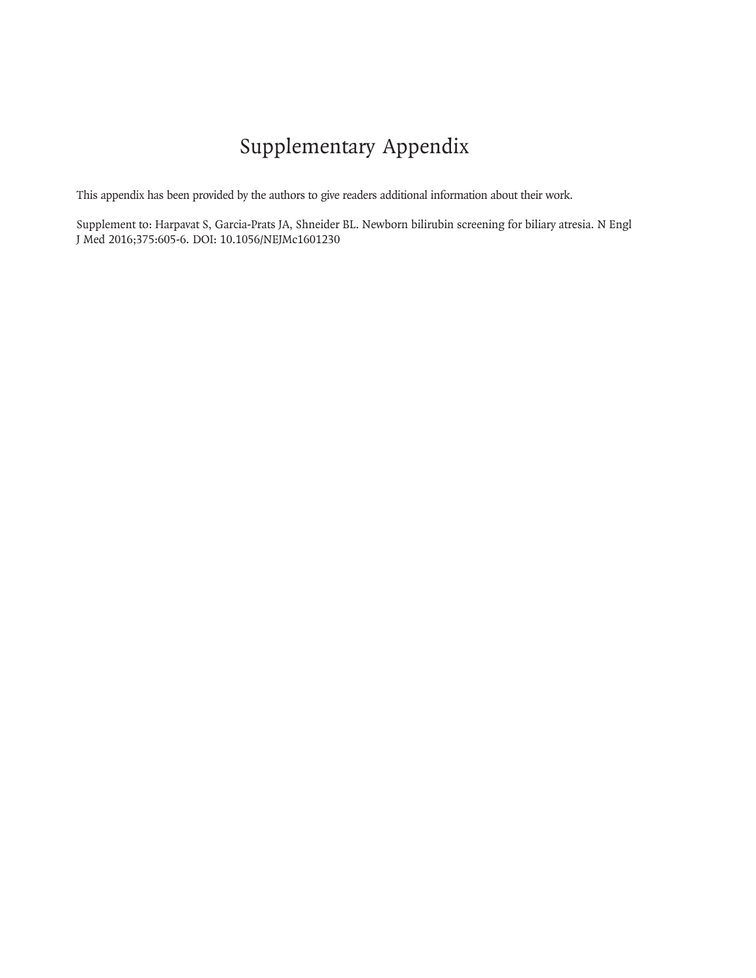# Supplementary Appendix

This appendix has been provided by the authors to give readers additional information about their work.

Supplement to: Harpavat S, Garcia-Prats JA, Shneider BL. Newborn bilirubin screening for biliary atresia. N Engl J Med 2016;375:605-6. DOI: 10.1056/NEJMc1601230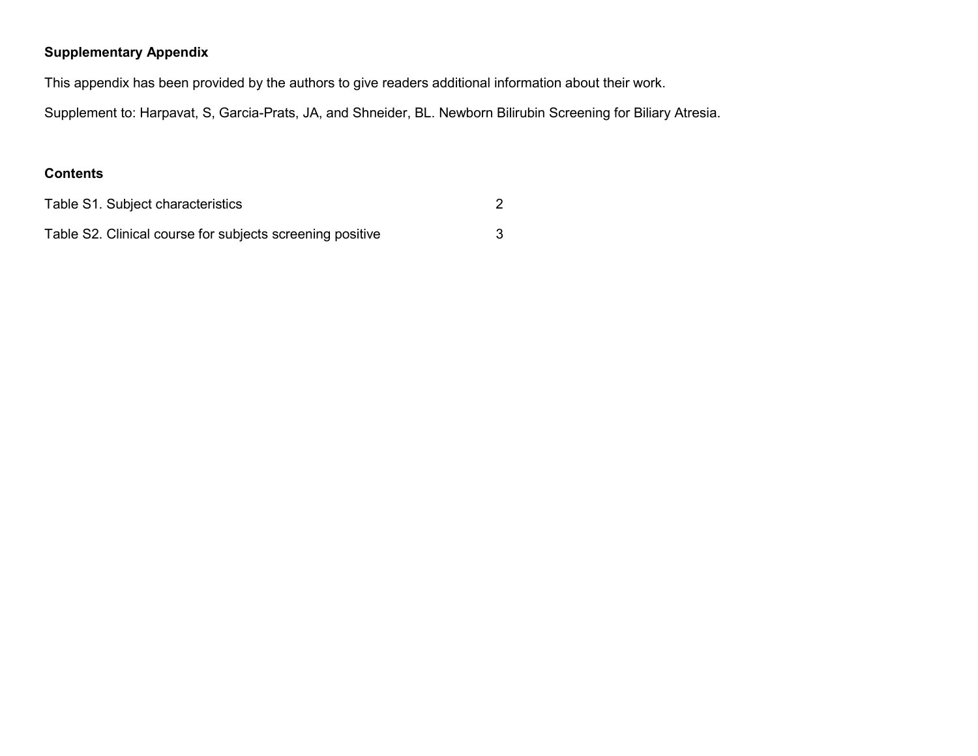## **Supplementary Appendix**

This appendix has been provided by the authors to give readers additional information about their work.

Supplement to: Harpavat, S, Garcia-Prats, JA, and Shneider, BL. Newborn Bilirubin Screening for Biliary Atresia.

## **Contents**

| Table S1. Subject characteristics                         |  |
|-----------------------------------------------------------|--|
| Table S2. Clinical course for subjects screening positive |  |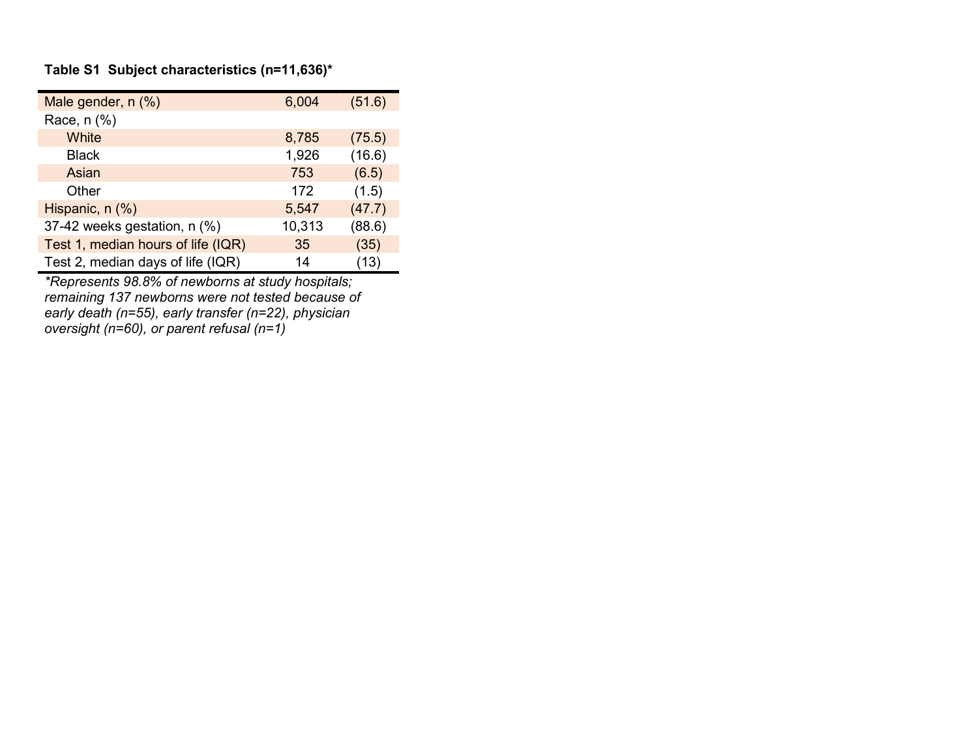## **Table S1 Subject characteristics (n=11,636)\***

| Male gender, n (%)                 | 6,004  | (51.6) |
|------------------------------------|--------|--------|
| Race, n (%)                        |        |        |
| White                              | 8,785  | (75.5) |
| <b>Black</b>                       | 1,926  | (16.6) |
| Asian                              | 753    | (6.5)  |
| Other                              | 172    | (1.5)  |
| Hispanic, n (%)                    | 5,547  | (47.7) |
| 37-42 weeks gestation, n (%)       | 10,313 | (88.6) |
| Test 1, median hours of life (IQR) | 35     | (35)   |
| Test 2, median days of life (IQR)  | 14     | (13)   |

*\*Represents 98.8% of newborns at study hospitals; remaining 137 newborns were not tested because of early death (n=55), early transfer (n=22), physician oversight (n=60), or parent refusal (n=1)*